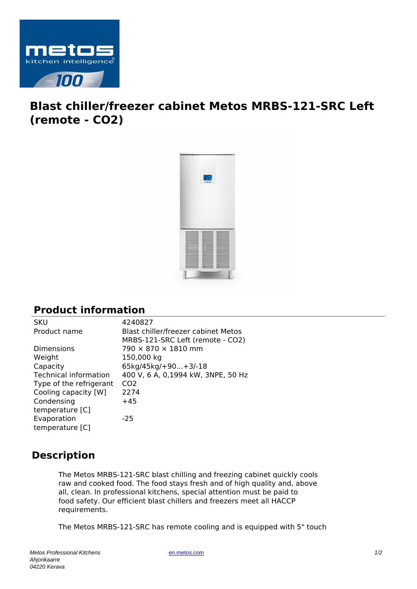

## **Blast chiller/freezer cabinet Metos MRBS-121-SRC Left (remote - CO2)**



## **Product information**

| 4240827                             |
|-------------------------------------|
| Blast chiller/freezer cabinet Metos |
| MRBS-121-SRC Left (remote - CO2)    |
| 790 × 870 × 1810 mm                 |
| 150,000 kg                          |
| 65kg/45kg/+90+3/-18                 |
| 400 V, 6 A, 0,1994 kW, 3NPE, 50 Hz  |
| CO <sub>2</sub>                     |
| 2274                                |
| $+45$                               |
|                                     |
| $-25$                               |
|                                     |
|                                     |

## **Description**

The Metos MRBS-121-SRC blast chilling and freezing cabinet quickly cools raw and cooked food. The food stays fresh and of high quality and, above all, clean. In professional kitchens, special attention must be paid to food safety. Our efficient blast chillers and freezers meet all HACCP requirements.

The Metos MRBS-121-SRC has remote cooling and is equipped with 5" touch